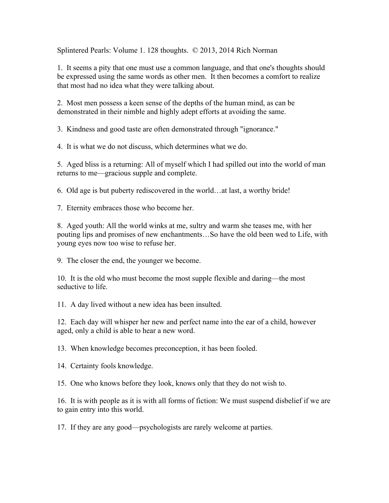Splintered Pearls: Volume 1. 128 thoughts. © 2013, 2014 Rich Norman

1. It seems a pity that one must use a common language, and that one's thoughts should be expressed using the same words as other men. It then becomes a comfort to realize that most had no idea what they were talking about.

2. Most men possess a keen sense of the depths of the human mind, as can be demonstrated in their nimble and highly adept efforts at avoiding the same.

3. Kindness and good taste are often demonstrated through "ignorance."

4. It is what we do not discuss, which determines what we do.

5. Aged bliss is a returning: All of myself which I had spilled out into the world of man returns to me––gracious supple and complete.

6. Old age is but puberty rediscovered in the world…at last, a worthy bride!

7. Eternity embraces those who become her.

8. Aged youth: All the world winks at me, sultry and warm she teases me, with her pouting lips and promises of new enchantments…So have the old been wed to Life, with young eyes now too wise to refuse her.

9. The closer the end, the younger we become.

10. It is the old who must become the most supple flexible and daring––the most seductive to life.

11. A day lived without a new idea has been insulted.

12. Each day will whisper her new and perfect name into the ear of a child, however aged, only a child is able to hear a new word.

13. When knowledge becomes preconception, it has been fooled.

14. Certainty fools knowledge.

15. One who knows before they look, knows only that they do not wish to.

16. It is with people as it is with all forms of fiction: We must suspend disbelief if we are to gain entry into this world.

17. If they are any good––psychologists are rarely welcome at parties.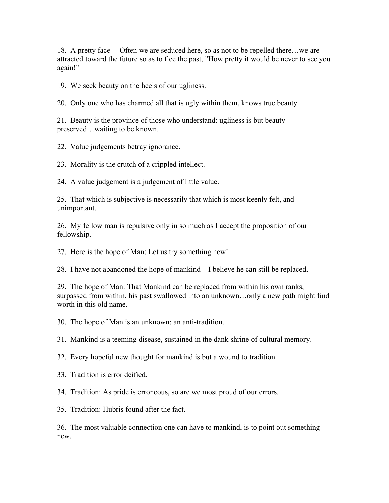18. A pretty face–– Often we are seduced here, so as not to be repelled there…we are attracted toward the future so as to flee the past, "How pretty it would be never to see you again!"

19. We seek beauty on the heels of our ugliness.

20. Only one who has charmed all that is ugly within them, knows true beauty.

21. Beauty is the province of those who understand: ugliness is but beauty preserved…waiting to be known.

22. Value judgements betray ignorance.

23. Morality is the crutch of a crippled intellect.

24. A value judgement is a judgement of little value.

25. That which is subjective is necessarily that which is most keenly felt, and unimportant.

26. My fellow man is repulsive only in so much as I accept the proposition of our fellowship.

27. Here is the hope of Man: Let us try something new!

28. I have not abandoned the hope of mankind––I believe he can still be replaced.

29. The hope of Man: That Mankind can be replaced from within his own ranks, surpassed from within, his past swallowed into an unknown…only a new path might find worth in this old name.

30. The hope of Man is an unknown: an anti-tradition.

31. Mankind is a teeming disease, sustained in the dank shrine of cultural memory.

32. Every hopeful new thought for mankind is but a wound to tradition.

33. Tradition is error deified.

34. Tradition: As pride is erroneous, so are we most proud of our errors.

35. Tradition: Hubris found after the fact.

36. The most valuable connection one can have to mankind, is to point out something new.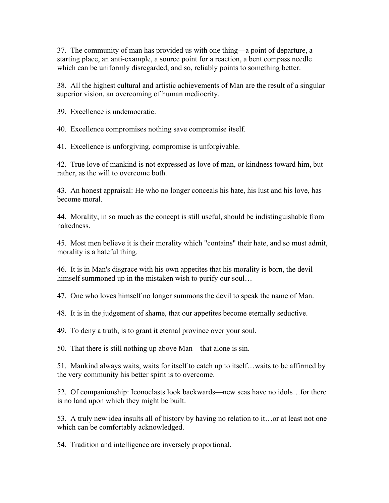37. The community of man has provided us with one thing––a point of departure, a starting place, an anti-example, a source point for a reaction, a bent compass needle which can be uniformly disregarded, and so, reliably points to something better.

38. All the highest cultural and artistic achievements of Man are the result of a singular superior vision, an overcoming of human mediocrity.

39. Excellence is undemocratic.

40. Excellence compromises nothing save compromise itself.

41. Excellence is unforgiving, compromise is unforgivable.

42. True love of mankind is not expressed as love of man, or kindness toward him, but rather, as the will to overcome both.

43. An honest appraisal: He who no longer conceals his hate, his lust and his love, has become moral.

44. Morality, in so much as the concept is still useful, should be indistinguishable from nakedness.

45. Most men believe it is their morality which "contains" their hate, and so must admit, morality is a hateful thing.

46. It is in Man's disgrace with his own appetites that his morality is born, the devil himself summoned up in the mistaken wish to purify our soul...

47. One who loves himself no longer summons the devil to speak the name of Man.

48. It is in the judgement of shame, that our appetites become eternally seductive.

49. To deny a truth, is to grant it eternal province over your soul.

50. That there is still nothing up above Man––that alone is sin.

51. Mankind always waits, waits for itself to catch up to itself…waits to be affirmed by the very community his better spirit is to overcome.

52. Of companionship: Iconoclasts look backwards––new seas have no idols…for there is no land upon which they might be built.

53. A truly new idea insults all of history by having no relation to it…or at least not one which can be comfortably acknowledged.

54. Tradition and intelligence are inversely proportional.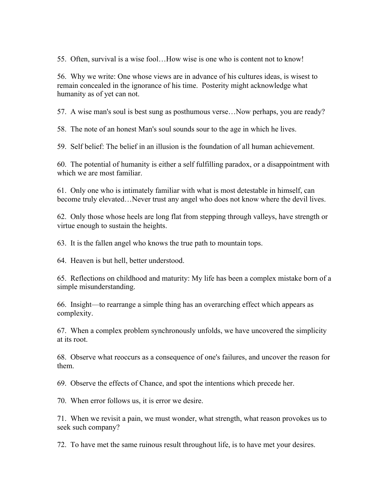55. Often, survival is a wise fool…How wise is one who is content not to know!

56. Why we write: One whose views are in advance of his cultures ideas, is wisest to remain concealed in the ignorance of his time. Posterity might acknowledge what humanity as of yet can not.

57. A wise man's soul is best sung as posthumous verse…Now perhaps, you are ready?

58. The note of an honest Man's soul sounds sour to the age in which he lives.

59. Self belief: The belief in an illusion is the foundation of all human achievement.

60. The potential of humanity is either a self fulfilling paradox, or a disappointment with which we are most familiar.

61. Only one who is intimately familiar with what is most detestable in himself, can become truly elevated…Never trust any angel who does not know where the devil lives.

62. Only those whose heels are long flat from stepping through valleys, have strength or virtue enough to sustain the heights.

63. It is the fallen angel who knows the true path to mountain tops.

64. Heaven is but hell, better understood.

65. Reflections on childhood and maturity: My life has been a complex mistake born of a simple misunderstanding.

66. Insight––to rearrange a simple thing has an overarching effect which appears as complexity.

67. When a complex problem synchronously unfolds, we have uncovered the simplicity at its root.

68. Observe what reoccurs as a consequence of one's failures, and uncover the reason for them.

69. Observe the effects of Chance, and spot the intentions which precede her.

70. When error follows us, it is error we desire.

71. When we revisit a pain, we must wonder, what strength, what reason provokes us to seek such company?

72. To have met the same ruinous result throughout life, is to have met your desires.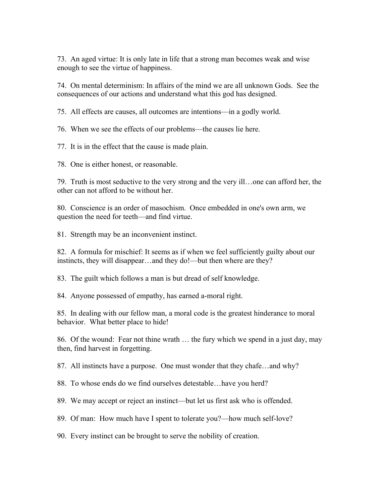73. An aged virtue: It is only late in life that a strong man becomes weak and wise enough to see the virtue of happiness.

74. On mental determinism: In affairs of the mind we are all unknown Gods. See the consequences of our actions and understand what this god has designed.

75. All effects are causes, all outcomes are intentions––in a godly world.

76. When we see the effects of our problems––the causes lie here.

77. It is in the effect that the cause is made plain.

78. One is either honest, or reasonable.

79. Truth is most seductive to the very strong and the very ill…one can afford her, the other can not afford to be without her.

80. Conscience is an order of masochism. Once embedded in one's own arm, we question the need for teeth––and find virtue.

81. Strength may be an inconvenient instinct.

82. A formula for mischief: It seems as if when we feel sufficiently guilty about our instincts, they will disappear...and they do!—but then where are they?

83. The guilt which follows a man is but dread of self knowledge.

84. Anyone possessed of empathy, has earned a-moral right.

85. In dealing with our fellow man, a moral code is the greatest hinderance to moral behavior. What better place to hide!

86. Of the wound: Fear not thine wrath … the fury which we spend in a just day, may then, find harvest in forgetting.

87. All instincts have a purpose. One must wonder that they chafe…and why?

88. To whose ends do we find ourselves detestable…have you herd?

89. We may accept or reject an instinct––but let us first ask who is offended.

89. Of man: How much have I spent to tolerate you?—how much self-love?

90. Every instinct can be brought to serve the nobility of creation.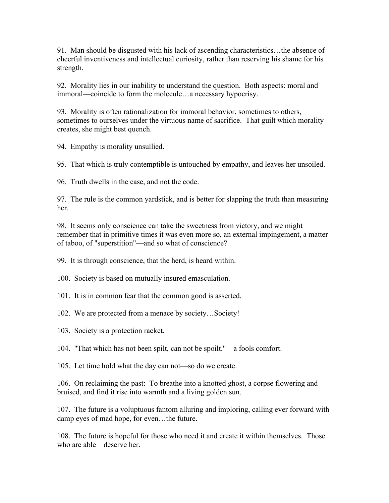91. Man should be disgusted with his lack of ascending characteristics…the absence of cheerful inventiveness and intellectual curiosity, rather than reserving his shame for his strength.

92. Morality lies in our inability to understand the question. Both aspects: moral and immoral––coincide to form the molecule…a necessary hypocrisy.

93. Morality is often rationalization for immoral behavior, sometimes to others, sometimes to ourselves under the virtuous name of sacrifice. That guilt which morality creates, she might best quench.

94. Empathy is morality unsullied.

95. That which is truly contemptible is untouched by empathy, and leaves her unsoiled.

96. Truth dwells in the case, and not the code.

97. The rule is the common yardstick, and is better for slapping the truth than measuring her.

98. It seems only conscience can take the sweetness from victory, and we might remember that in primitive times it was even more so, an external impingement, a matter of taboo, of "superstition"––and so what of conscience?

99. It is through conscience, that the herd, is heard within.

100. Society is based on mutually insured emasculation.

101. It is in common fear that the common good is asserted.

102. We are protected from a menace by society...Society!

103. Society is a protection racket.

104. "That which has not been spilt, can not be spoilt."––a fools comfort.

105. Let time hold what the day can not––so do we create.

106. On reclaiming the past: To breathe into a knotted ghost, a corpse flowering and bruised, and find it rise into warmth and a living golden sun.

107. The future is a voluptuous fantom alluring and imploring, calling ever forward with damp eyes of mad hope, for even…the future.

108. The future is hopeful for those who need it and create it within themselves. Those who are able—deserve her.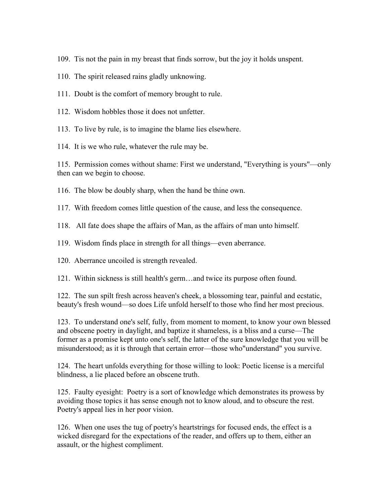109. Tis not the pain in my breast that finds sorrow, but the joy it holds unspent.

- 110. The spirit released rains gladly unknowing.
- 111. Doubt is the comfort of memory brought to rule.
- 112. Wisdom hobbles those it does not unfetter.
- 113. To live by rule, is to imagine the blame lies elsewhere.
- 114. It is we who rule, whatever the rule may be.

115. Permission comes without shame: First we understand, "Everything is yours"––only then can we begin to choose.

116. The blow be doubly sharp, when the hand be thine own.

117. With freedom comes little question of the cause, and less the consequence.

- 118. All fate does shape the affairs of Man, as the affairs of man unto himself.
- 119. Wisdom finds place in strength for all things––even aberrance.
- 120. Aberrance uncoiled is strength revealed.
- 121. Within sickness is still health's germ…and twice its purpose often found.

122. The sun spilt fresh across heaven's cheek, a blossoming tear, painful and ecstatic, beauty's fresh wound––so does Life unfold herself to those who find her most precious.

123. To understand one's self, fully, from moment to moment, to know your own blessed and obscene poetry in daylight, and baptize it shameless, is a bliss and a curse––The former as a promise kept unto one's self, the latter of the sure knowledge that you will be misunderstood; as it is through that certain error––those who"understand" you survive.

124. The heart unfolds everything for those willing to look: Poetic license is a merciful blindness, a lie placed before an obscene truth.

125. Faulty eyesight: Poetry is a sort of knowledge which demonstrates its prowess by avoiding those topics it has sense enough not to know aloud, and to obscure the rest. Poetry's appeal lies in her poor vision.

126. When one uses the tug of poetry's heartstrings for focused ends, the effect is a wicked disregard for the expectations of the reader, and offers up to them, either an assault, or the highest compliment.